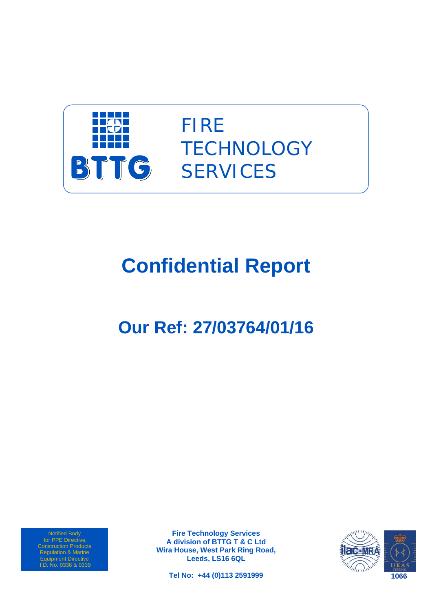

FIRE **TECHNOLOGY SERVICES** 

# **Confidential Report**

# **Our Ref: 27/03764/01/16**

Notified Body for PPE Directive, Regulation & Marine Equipment Directive I.D. No. 0338 & 0339

**Fire Technology Services A division of BTTG T & C Ltd Wira House, West Park Ring Road, Leeds, LS16 6QL** 

**Tel No: +44 (0)113 2591999** 

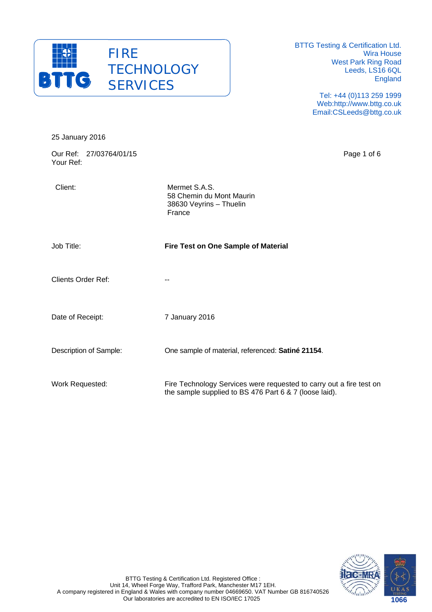

25 January 2016

BTTG Testing & Certification Ltd. Wira House West Park Ring Road Leeds, LS16 6QL England

> Tel: +44 (0)113 259 1999 Web:http://www.bttg.co.uk Email:CSLeeds@bttg.co.uk

| Our Ref: 27/03764/01/15<br>Your Ref: |                                                                                                                               | Page 1 of 6 |
|--------------------------------------|-------------------------------------------------------------------------------------------------------------------------------|-------------|
| Client:                              | Mermet S.A.S.<br>58 Chemin du Mont Maurin<br>38630 Veyrins - Thuelin<br>France                                                |             |
| Job Title:                           | Fire Test on One Sample of Material                                                                                           |             |
| <b>Clients Order Ref:</b>            | --                                                                                                                            |             |
| Date of Receipt:                     | 7 January 2016                                                                                                                |             |
| Description of Sample:               | One sample of material, referenced: Satiné 21154.                                                                             |             |
| Work Requested:                      | Fire Technology Services were requested to carry out a fire test on<br>the sample supplied to BS 476 Part 6 & 7 (loose laid). |             |

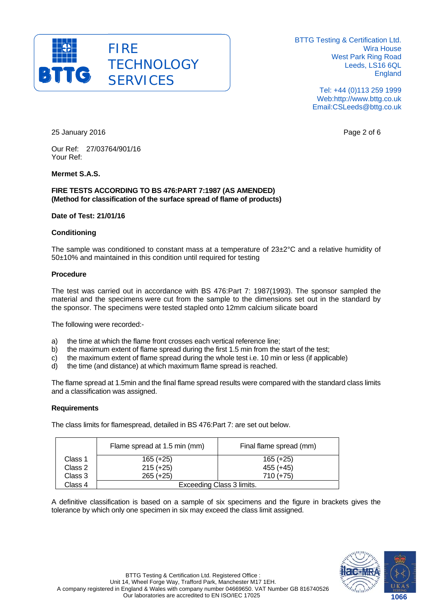

> Tel: +44 (0)113 259 1999 Web:http://www.bttg.co.uk Email:CSLeeds@bttg.co.uk

25 January 2016 Page 2 of 6

Our Ref: 27/03764/901/16 Your Ref:

#### **Mermet S.A.S.**

#### **FIRE TESTS ACCORDING TO BS 476:PART 7:1987 (AS AMENDED) (Method for classification of the surface spread of flame of products)**

#### **Date of Test: 21/01/16**

#### **Conditioning**

The sample was conditioned to constant mass at a temperature of 23±2°C and a relative humidity of 50±10% and maintained in this condition until required for testing

#### **Procedure**

The test was carried out in accordance with BS 476:Part 7: 1987(1993). The sponsor sampled the material and the specimens were cut from the sample to the dimensions set out in the standard by the sponsor. The specimens were tested stapled onto 12mm calcium silicate board

The following were recorded:-

- a) the time at which the flame front crosses each vertical reference line;
- b) the maximum extent of flame spread during the first 1.5 min from the start of the test;
- c) the maximum extent of flame spread during the whole test i.e. 10 min or less (if applicable)
- d) the time (and distance) at which maximum flame spread is reached.

The flame spread at 1.5min and the final flame spread results were compared with the standard class limits and a classification was assigned.

#### **Requirements**

The class limits for flamespread, detailed in BS 476:Part 7: are set out below.

|         | Flame spread at 1.5 min (mm) | Final flame spread (mm) |  |  |  |
|---------|------------------------------|-------------------------|--|--|--|
| Class 1 | $165 (+25)$                  | $165 (+25)$             |  |  |  |
| Class 2 | $215 (+25)$                  | 455 (+45)               |  |  |  |
| Class 3 | $265 (+25)$                  | $710 (+75)$             |  |  |  |
| Class 4 | Exceeding Class 3 limits.    |                         |  |  |  |

A definitive classification is based on a sample of six specimens and the figure in brackets gives the tolerance by which only one specimen in six may exceed the class limit assigned.

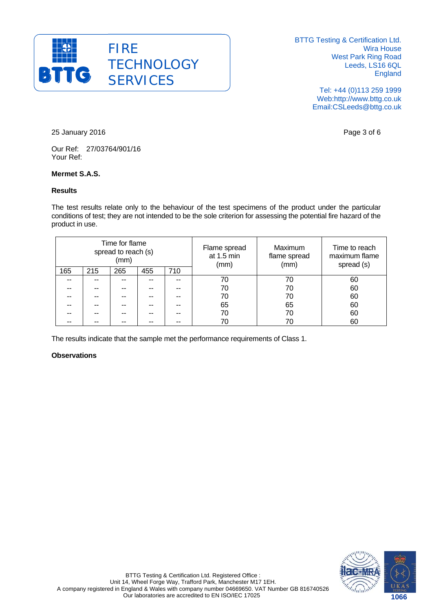

> Tel: +44 (0)113 259 1999 Web:http://www.bttg.co.uk Email:CSLeeds@bttg.co.uk

25 January 2016 Page 3 of 6

Our Ref: 27/03764/901/16 Your Ref:

#### **Mermet S.A.S.**

#### **Results**

The test results relate only to the behaviour of the test specimens of the product under the particular conditions of test; they are not intended to be the sole criterion for assessing the potential fire hazard of the product in use.

| Time for flame<br>spread to reach (s)<br>(mm) |     | Flame spread<br>at 1.5 min<br>(mm) | <b>Maximum</b><br>flame spread<br>(mm) | Time to reach<br>maximum flame<br>spread (s) |    |    |    |
|-----------------------------------------------|-----|------------------------------------|----------------------------------------|----------------------------------------------|----|----|----|
| 165                                           | 215 | 265                                | 455                                    | 710                                          |    |    |    |
|                                               |     |                                    |                                        |                                              | 70 | 70 | 60 |
|                                               |     |                                    |                                        |                                              | 70 | 70 | 60 |
|                                               |     |                                    |                                        |                                              | 70 | 70 | 60 |
|                                               |     |                                    |                                        |                                              | 65 | 65 | 60 |
|                                               |     |                                    |                                        |                                              | 70 | 70 | 60 |
|                                               |     |                                    |                                        |                                              | 70 |    | 60 |

The results indicate that the sample met the performance requirements of Class 1.

#### **Observations**

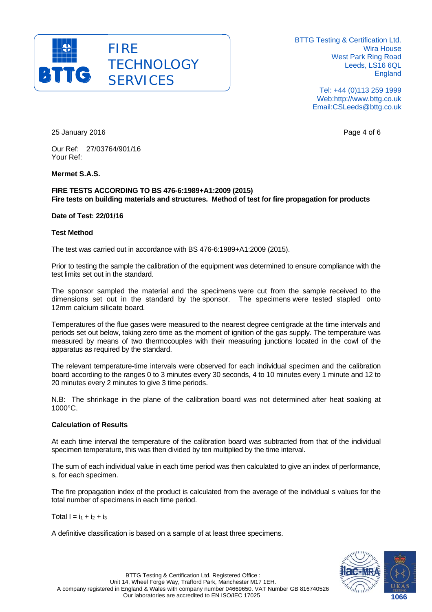

> Tel: +44 (0)113 259 1999 Web:http://www.bttg.co.uk Email:CSLeeds@bttg.co.uk

25 January 2016 Page 4 of 6

Our Ref: 27/03764/901/16 Your Ref:

#### **Mermet S.A.S.**

#### **FIRE TESTS ACCORDING TO BS 476-6:1989+A1:2009 (2015) Fire tests on building materials and structures. Method of test for fire propagation for products**

#### **Date of Test: 22/01/16**

#### **Test Method**

The test was carried out in accordance with BS 476-6:1989+A1:2009 (2015).

Prior to testing the sample the calibration of the equipment was determined to ensure compliance with the test limits set out in the standard.

The sponsor sampled the material and the specimens were cut from the sample received to the dimensions set out in the standard by the sponsor. The specimens were tested stapled onto 12mm calcium silicate board.

Temperatures of the flue gases were measured to the nearest degree centigrade at the time intervals and periods set out below, taking zero time as the moment of ignition of the gas supply. The temperature was measured by means of two thermocouples with their measuring junctions located in the cowl of the apparatus as required by the standard.

The relevant temperature-time intervals were observed for each individual specimen and the calibration board according to the ranges 0 to 3 minutes every 30 seconds, 4 to 10 minutes every 1 minute and 12 to 20 minutes every 2 minutes to give 3 time periods.

N.B: The shrinkage in the plane of the calibration board was not determined after heat soaking at 1000°C.

#### **Calculation of Results**

At each time interval the temperature of the calibration board was subtracted from that of the individual specimen temperature, this was then divided by ten multiplied by the time interval.

The sum of each individual value in each time period was then calculated to give an index of performance, s, for each specimen.

The fire propagation index of the product is calculated from the average of the individual s values for the total number of specimens in each time period.

Total  $I = i_1 + i_2 + i_3$ 

A definitive classification is based on a sample of at least three specimens.

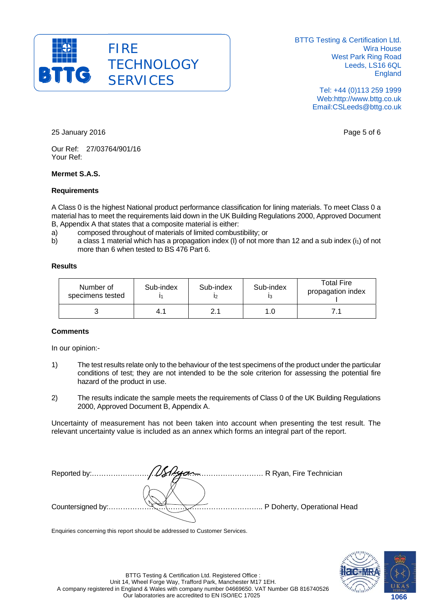

> Tel: +44 (0)113 259 1999 Web:http://www.bttg.co.uk Email:CSLeeds@bttg.co.uk

25 January 2016 Page 5 of 6

Our Ref: 27/03764/901/16 Your Ref:

#### **Mermet S.A.S.**

#### **Requirements**

A Class 0 is the highest National product performance classification for lining materials. To meet Class 0 a material has to meet the requirements laid down in the UK Building Regulations 2000, Approved Document B, Appendix A that states that a composite material is either:

- a) composed throughout of materials of limited combustibility; or
- b) a class 1 material which has a propagation index (I) of not more than 12 and a sub index  $(i_1)$  of not more than 6 when tested to BS 476 Part 6.

#### **Results**

| Number of<br>specimens tested | Sub-index | Sub-index | Sub-index | <b>Total Fire</b><br>propagation index |
|-------------------------------|-----------|-----------|-----------|----------------------------------------|
|                               | 4.1       |           | 1.0       |                                        |

#### **Comments**

In our opinion:-

- 1) The test results relate only to the behaviour of the test specimens of the product under the particular conditions of test; they are not intended to be the sole criterion for assessing the potential fire hazard of the product in use.
- 2) The results indicate the sample meets the requirements of Class 0 of the UK Building Regulations 2000, Approved Document B, Appendix A.

Uncertainty of measurement has not been taken into account when presenting the test result. The relevant uncertainty value is included as an annex which forms an integral part of the report.

Reported by:……………………………………………………………… R Ryan, Fire Technician Countersigned by:……………………………………………………….. P Doherty, Operational Head

Enquiries concerning this report should be addressed to Customer Services.